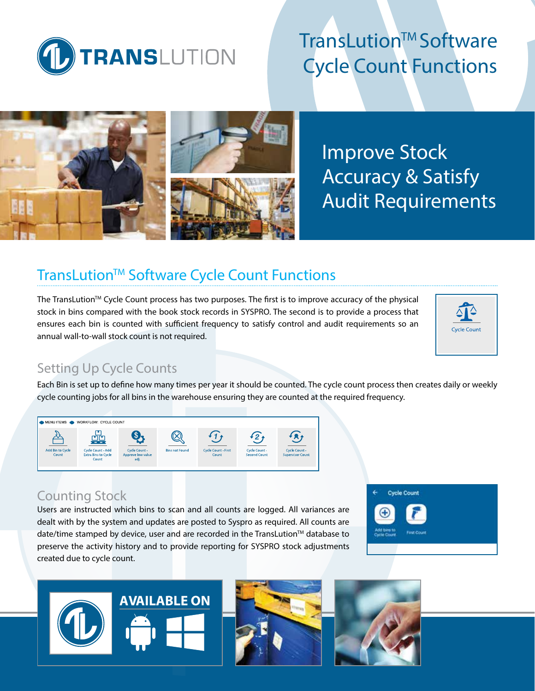

# TransLution™ Software Cycle Count Functions



Improve Stock Accuracy & Satisfy Audit Requirements

# TransLution™ Software Cycle Count Functions

The TransLution™ Cycle Count process has two purposes. The first is to improve accuracy of the physical stock in bins compared with the book stock records in SYSPRO. The second is to provide a process that ensures each bin is counted with sufficient frequency to satisfy control and audit requirements so an annual wall-to-wall stock count is not required.



## Setting Up Cycle Counts

Each Bin is set up to define how many times per year it should be counted. The cycle count process then creates daily or weekly cycle counting jobs for all bins in the warehouse ensuring they are counted at the required frequency.



### Counting Stock

Users are instructed which bins to scan and all counts are logged. All variances are dealt with by the system and updates are posted to Syspro as required. All counts are date/time stamped by device, user and are recorded in the TransLution $TM$  database to preserve the activity history and to provide reporting for SYSPRO stock adjustments created due to cycle count.